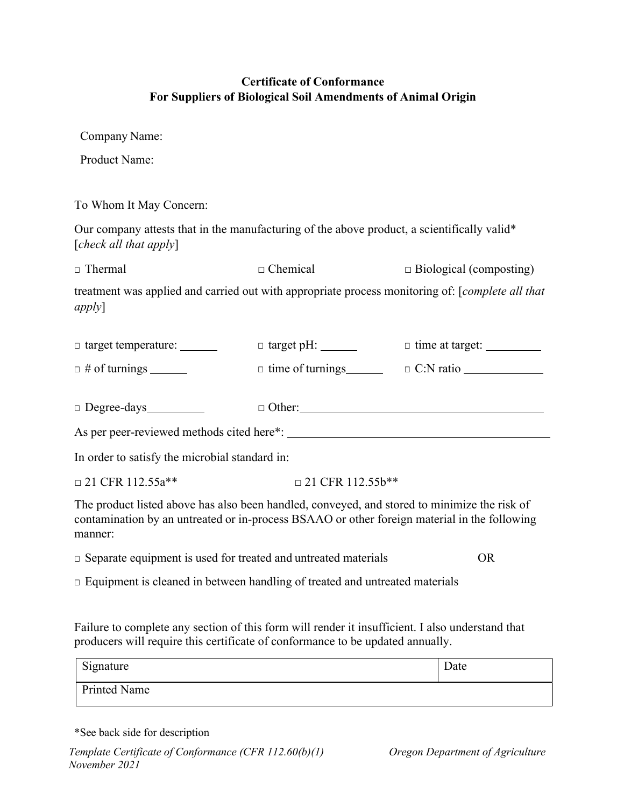## **Certificate of Conformance For Suppliers of Biological Soil Amendments of Animal Origin**

Company Name:

Product Name:

To Whom It May Concern:

Our company attests that in the manufacturing of the above product, a scientifically valid\* [*check all that apply*]

□ Thermal □ Chemical □ Biological (composting)

treatment was applied and carried out with appropriate process monitoring of: [*complete all that apply*]

| $\Box$ target temperature: $\_\_\_\_\_\_\_\_\_\_\_\_\_\_\_\_\_\_\_$                          | $\Box$ target pH: $\_\_\_\_\_\_\_\_\_\_\_\_\_\_\_\_\_\_\_\_\_\_\_\_\_\_\_\_\_\_\_$ | $\Box$ time at target: $\Box$ |  |
|----------------------------------------------------------------------------------------------|------------------------------------------------------------------------------------|-------------------------------|--|
| $\Box$ # of turnings ________                                                                | $\Box$ time of turnings $\Box$                                                     |                               |  |
|                                                                                              |                                                                                    |                               |  |
| $\Box$ Degree-days                                                                           | $\Box$ Other:                                                                      |                               |  |
|                                                                                              |                                                                                    |                               |  |
| In order to satisfy the microbial standard in:                                               |                                                                                    |                               |  |
| $\Box$ 21 CFR 112.55a**                                                                      | $\Box$ 21 CFR 112.55b**                                                            |                               |  |
| The product listed above has also been handled, conveyed, and stored to minimize the risk of |                                                                                    |                               |  |

The product listed above has also been handled, conveyed, and stored to minimize the risk of contamination by an untreated or in-process BSAAO or other foreign material in the following manner:

□ Separate equipment is used for treated and untreated materials OR

□ Equipment is cleaned in between handling of treated and untreated materials

Failure to complete any section of this form will render it insufficient. I also understand that producers will require this certificate of conformance to be updated annually.

| Signature           | Date |
|---------------------|------|
| <b>Printed Name</b> |      |

\*See back side for description